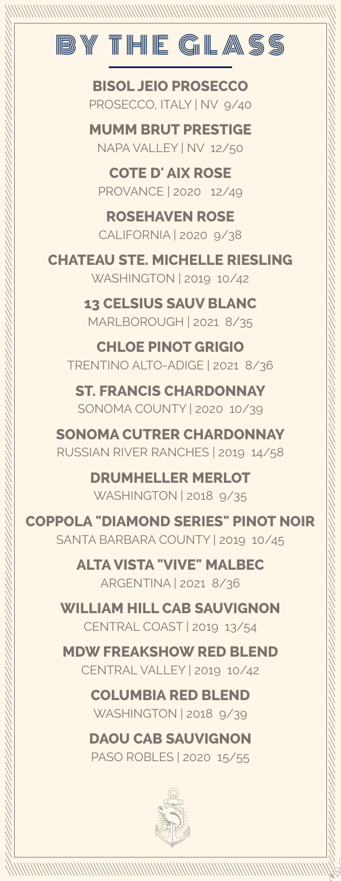

**BISOL JEIO PROSECCO** PROSECCO, ITALY | NV 9/40

**MUMM BRUT PRESTIGE** NAPA VALLEY | NV 12/50

**COTE D' AIX ROSE** PROVANCE | 2020 12/49

**ROSEHAVEN ROSE** CALIFORNIA | 2020 9/38

**CHATEAU STE. MICHELLE RIESLING** WASHINGTON | 2019 10/42

> **13 CELSIUS SAUV BLANC** MARLBOROUGH | 2021 8/35

**CHLOE PINOT GRIGIO** TRENTINO ALTO-ADIGE | 2021 8/36

**ST. FRANCIS CHARDONNAY** SONOMA COUNTY | 2020 10/39

**SONOMA CUTRER CHARDONNAY** RUSSIAN RIVER RANCHES | 2019 14/58

> **DRUMHELLER MERLOT** WASHINGTON | 2018 9/35

**COPPOLA "DIAMOND SERIES" PINOT NOIR** SANTA BARBARA COUNTY | 2019 10/45

> **ALTAVISTA "VIVE" MALBEC** ARGENTINA | 2021 8/36

**WILLIAM HILL CAB SAUVIGNON** CENTRAL COAST | 2019 13/54

**MDW FREAKSHOW RED BLEND** CENTRAL VALLEY | 2019 10/42

> **COLUMBIA RED BLEND** WASHINGTON | 2018 9/39

**DAOU CAB SAUVIGNON** PASO ROBLES | 2020 15/55

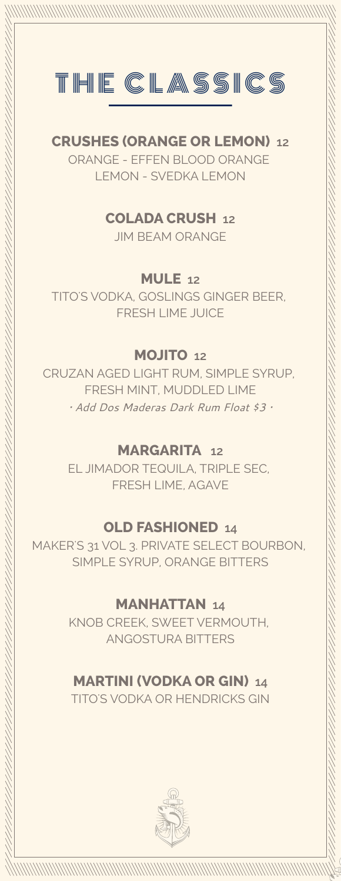

#### **CRUSHES (ORANGE OR LEMON) 12** ORANGE - EFFEN BLOOD ORANGE

LEMON - SVEDKA LEMON

**COLADA CRUSH 12**

JIM BEAM ORANGE

**MULE 12**

TITO'S VODKA, GOSLINGS GINGER BEER, FRESH LIME JUICE

#### **MOJITO 12**

CRUZAN AGED LIGHT RUM, SIMPLE SYRUP, FRESH MINT, MUDDLED LIME *• Add Dos Maderas Dark Rum Float \$3 •*

#### **MARGARITA 12**

EL JIMADOR TEQUILA, TRIPLE SEC, FRESH LIME, AGAVE

## **OLD FASHIONED 14**

MAKER'S 31 VOL 3. PRIVATE SELECT BOURBON, SIMPLE SYRUP, ORANGE BITTERS

#### **MANHATTAN 14**

KNOB CREEK, SWEET VERMOUTH, ANGOSTURA BITTERS

## **MARTINI (VODKA OR GIN) 14**

TITO'S VODKA OR HENDRICKS GIN

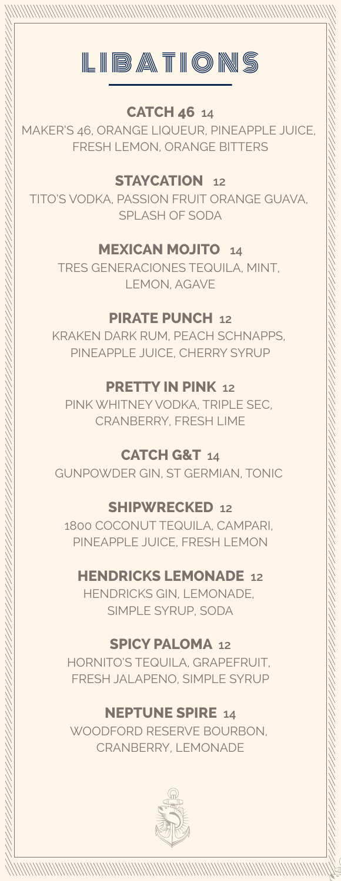

#### **CATCH 46 14**

MAKER'S 46, ORANGE LIQUEUR, PINEAPPLE JUICE, FRESH LEMON, ORANGE BITTERS

## **STAYCATION 12**

TITO'S VODKA, PASSION FRUIT ORANGE GUAVA, SPLASH OF SODA

## **MEXICAN MOJITO 14**

TRES GENERACIONES TEQUILA, MINT, LEMON, AGAVE

#### **PIRATE PUNCH 12**

KRAKEN DARK RUM, PEACH SCHNAPPS, PINEAPPLE JUICE, CHERRY SYRUP

#### **PRETTY IN PINK 12**

PINK WHITNEY VODKA, TRIPLE SEC, CRANBERRY, FRESH LIME

## **CATCH G&T 14**

GUNPOWDER GIN, ST GERMIAN, TONIC

#### **SHIPWRECKED 12**

1800 COCONUT TEQUILA, CAMPARI, PINEAPPLE JUICE, FRESH LEMON

## **HENDRICKS LEMONADE 12**

HENDRICKS GIN, LEMONADE, SIMPLE SYRUP, SODA

## **SPICY PALOMA 12**

HORNITO'S TEQUILA, GRAPEFRUIT, FRESH JALAPENO, SIMPLE SYRUP

## **NEPTUNE SPIRE 14**

WOODFORD RESERVE BOURBON, CRANBERRY, LEMONADE